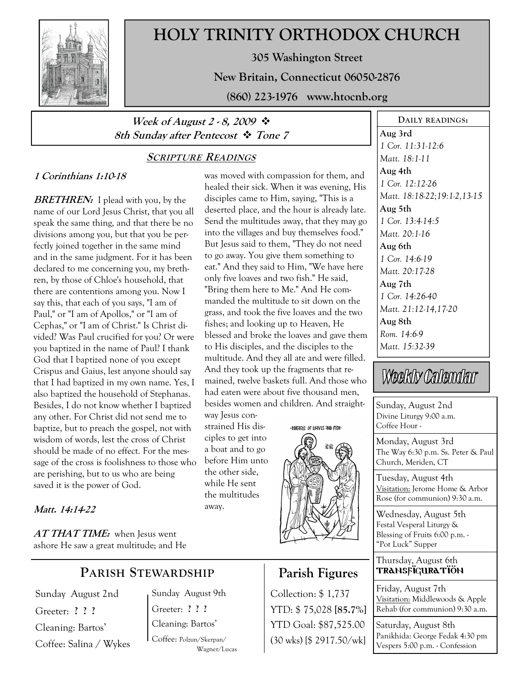

# HOLY TRINITY ORTHODOX CHURCH

305 Washington Street

New Britain, Connecticut 06050-2876

(860) 223-1976 www.htocnb.org

### Week of August 2 - 8, 2009  $\cdot$ 8th Sunday after Pentecost  $\cdot \cdot$  Tone 7

### SCRIPTURE READINGS

### 1 Corinthians 1:10-18

**BRETHREN:** I plead with you, by the name of our Lord Jesus Christ, that you all speak the same thing, and that there be no divisions among you, but that you be perfectly joined together in the same mind and in the same judgment. For it has been declared to me concerning you, my brethren, by those of Chloe's household, that there are contentions among you. Now I say this, that each of you says, "I am of Paul," or "I am of Apollos," or "I am of Cephas," or "I am of Christ." Is Christ divided? Was Paul crucified for you? Or were you baptized in the name of Paul? I thank God that I baptized none of you except Crispus and Gaius, lest anyone should say that I had baptized in my own name. Yes, I also baptized the household of Stephanas. Besides, I do not know whether I baptized any other. For Christ did not send me to baptize, but to preach the gospel, not with wisdom of words, lest the cross of Christ should be made of no effect. For the message of the cross is foolishness to those who are perishing, but to us who are being saved it is the power of God.

### Matt. 14:14-22

 $AT\mathit{THAT\mathit{TIME:}}$  when Jesus went ashore He saw a great multitude; and He

### PARISH STEWARDSHIP

Sunday August 2nd Greeter: ? ? ? Cleaning: Bartos' Coffee: Salina / Wykes Sunday August 9th Greeter: ? ? ? Cleaning: Bartos'

Coffee: Polzun/Skerpan/ Wagner/Lucas

was moved with compassion for them, and healed their sick. When it was evening, His disciples came to Him, saying, "This is a deserted place, and the hour is already late. Send the multitudes away, that they may go into the villages and buy themselves food." But Jesus said to them, "They do not need to go away. You give them something to eat." And they said to Him, "We have here only five loaves and two fish." He said, "Bring them here to Me." And He commanded the multitude to sit down on the grass, and took the five loaves and the two fishes; and looking up to Heaven, He blessed and broke the loaves and gave them to His disciples, and the disciples to the multitude. And they all ate and were filled. And they took up the fragments that remained, twelve baskets full. And those who had eaten were about five thousand men, besides women and children. And straight-

way Jesus constrained His disciples to get into a boat and to go before Him unto the other side, while He sent the multitudes away.





# Parish Figures

Collection: \$ 1,737 YTD: \$ 75,028 [85.7%] YTD Goal: \$87,525.00 (30 wks) [\$ 2917.50/wk]

Aug 3rd 1 Cor. 11:31-12:6 Matt. 18:1-11 Aug 4th 1 Cor. 12:12-26 Matt. 18:18-22;19:1-2,13-15 Aug 5th 1 Cor. 13:4-14:5 Matt. 20:1-16 Aug 6th 1 Cor. 14:6-19 Matt. 20:17-28 Aug 7th 1 Cor. 14:26-40 Matt. 21:12-14,17-20 Aug 8th Rom. 14:6-9 Matt. 15:32-39

DAILY READINGS:

# Weekly Calendar

Sunday, August 2nd Divine Liturgy 9:00 a.m. Coffee Hour -

Monday, August 3rd The Way 6:30 p.m. Ss. Peter & Paul Church, Meriden, CT

Tuesday, August 4th Visitation: Jerome Home & Arbor Rose (for communion) 9:30 a.m.

Wednesday, August 5th Festal Vesperal Liturgy & Blessing of Fruits 6:00 p.m. - "Pot Luck" Supper

#### Thursday, August 6th TRANSFÏGURATÏÖN

Friday, August 7th Visitation: Middlewoods & Apple Rehab (for communion) 9:30 a.m.

Saturday, August 8th Panikhida: George Fedak 4:30 pm Vespers 5:00 p.m. - Confession